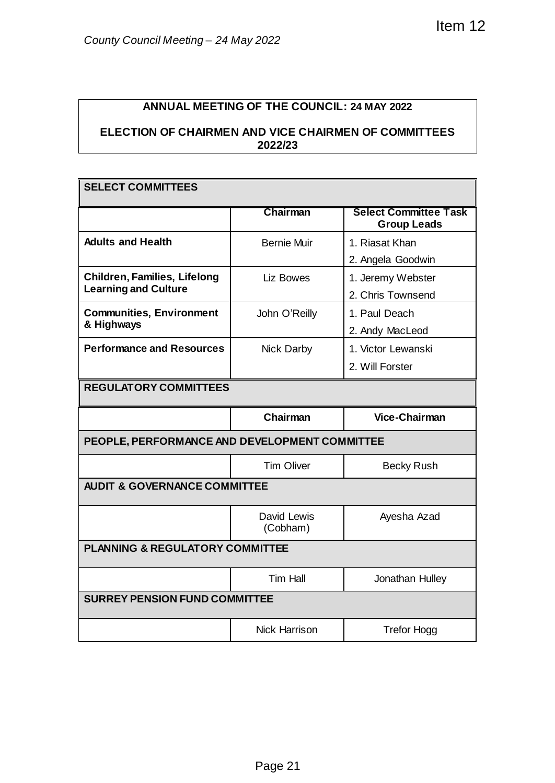## **ANNUAL MEETING OF THE COUNCIL: 24 MAY 2022**

## **ELECTION OF CHAIRMEN AND VICE CHAIRMEN OF COMMITTEES 2022/23**

| County Council Meeting - 24 May 2022                                                                                        |                         | Item 12                                            |  |  |
|-----------------------------------------------------------------------------------------------------------------------------|-------------------------|----------------------------------------------------|--|--|
|                                                                                                                             |                         |                                                    |  |  |
| <b>ANNUAL MEETING OF THE COUNCIL: 24 MAY 2022</b><br><b>ELECTION OF CHAIRMEN AND VICE CHAIRMEN OF COMMITTEES</b><br>2022/23 |                         |                                                    |  |  |
|                                                                                                                             |                         |                                                    |  |  |
| <b>SELECT COMMITTEES</b>                                                                                                    |                         |                                                    |  |  |
|                                                                                                                             | Chairman                | <b>Select Committee Task</b><br><b>Group Leads</b> |  |  |
| <b>Adults and Health</b>                                                                                                    | <b>Bernie Muir</b>      | 1. Riasat Khan                                     |  |  |
| <b>Children, Families, Lifelong</b>                                                                                         |                         | 2. Angela Goodwin                                  |  |  |
| <b>Learning and Culture</b>                                                                                                 | Liz Bowes               | 1. Jeremy Webster<br>2. Chris Townsend             |  |  |
| <b>Communities, Environment</b>                                                                                             | John O'Reilly           | 1. Paul Deach                                      |  |  |
| & Highways                                                                                                                  |                         | 2. Andy MacLeod                                    |  |  |
| <b>Performance and Resources</b>                                                                                            | Nick Darby              | 1. Victor Lewanski                                 |  |  |
|                                                                                                                             |                         | 2. Will Forster                                    |  |  |
| <b>REGULATORY COMMITTEES</b>                                                                                                |                         |                                                    |  |  |
|                                                                                                                             | Chairman                | <b>Vice-Chairman</b>                               |  |  |
| PEOPLE, PERFORMANCE AND DEVELOPMENT COMMITTEE                                                                               |                         |                                                    |  |  |
|                                                                                                                             | <b>Tim Oliver</b>       | <b>Becky Rush</b>                                  |  |  |
| <b>AUDIT &amp; GOVERNANCE COMMITTEE</b>                                                                                     |                         |                                                    |  |  |
|                                                                                                                             | David Lewis<br>(Cobham) | Ayesha Azad                                        |  |  |
| PLANNING & REGULATORY COMMITTEE                                                                                             |                         |                                                    |  |  |
|                                                                                                                             | <b>Tim Hall</b>         | Jonathan Hulley                                    |  |  |
| <b>SURREY PENSION FUND COMMITTEE</b>                                                                                        |                         |                                                    |  |  |
|                                                                                                                             | <b>Nick Harrison</b>    | <b>Trefor Hogg</b>                                 |  |  |
|                                                                                                                             |                         |                                                    |  |  |
|                                                                                                                             |                         |                                                    |  |  |
|                                                                                                                             |                         |                                                    |  |  |
|                                                                                                                             |                         |                                                    |  |  |
|                                                                                                                             |                         |                                                    |  |  |
|                                                                                                                             |                         |                                                    |  |  |
|                                                                                                                             | Page 21                 |                                                    |  |  |